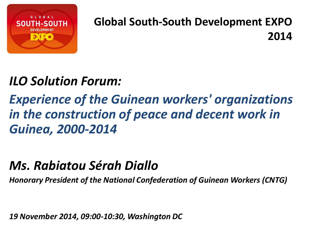

# **Global South-South Development EXPO 2014**

# *ILO Solution Forum:*

# *Experience of the Guinean workers' organizations in the construction of peace and decent work in Guinea, 2000-2014*

# *Ms. Rabiatou Sérah Diallo*

*Honorary President of the National Confederation of Guinean Workers (CNTG)*

*19 November 2014, 09:00-10:30, Washington DC*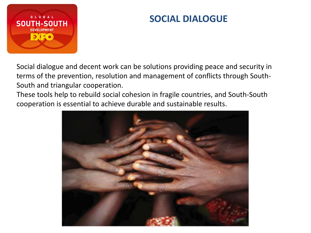

### **SOCIAL DIALOGUE**

Social dialogue and decent work can be solutions providing peace and security in terms of the prevention, resolution and management of conflicts through South-South and triangular cooperation.

These tools help to rebuild social cohesion in fragile countries, and South-South cooperation is essential to achieve durable and sustainable results.

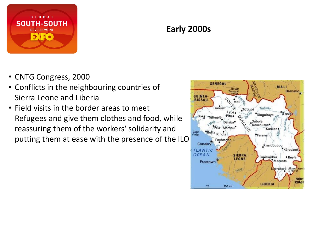

#### **Early 2000s**

- CNTG Congress, 2000
- Conflicts in the neighbouring countries of Sierra Leone and Liberia
- Field visits in the border areas to meet Refugees and give them clothes and food, while reassuring them of the workers' solidarity and putting them at ease with the presence of the ILO

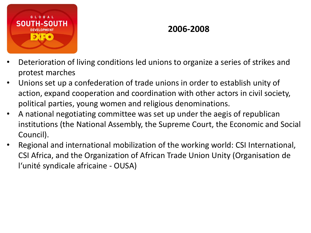

- Deterioration of living conditions led unions to organize a series of strikes and protest marches
- Unions set up a confederation of trade unions in order to establish unity of action, expand cooperation and coordination with other actors in civil society, political parties, young women and religious denominations.
- A national negotiating committee was set up under the aegis of republican institutions (the National Assembly, the Supreme Court, the Economic and Social Council).
- Regional and international mobilization of the working world: CSI International, CSI Africa, and the Organization of African Trade Union Unity (Organisation de l'unité syndicale africaine - OUSA)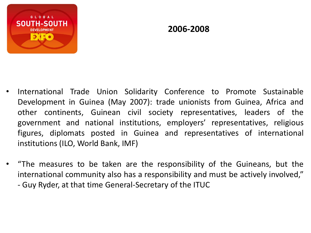

- International Trade Union Solidarity Conference to Promote Sustainable Development in Guinea (May 2007): trade unionists from Guinea, Africa and other continents, Guinean civil society representatives, leaders of the government and national institutions, employers' representatives, religious figures, diplomats posted in Guinea and representatives of international institutions (ILO, World Bank, IMF)
- "The measures to be taken are the responsibility of the Guineans, but the international community also has a responsibility and must be actively involved," - Guy Ryder, at that time General-Secretary of the ITUC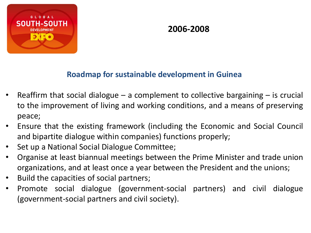

#### **Roadmap for sustainable development in Guinea**

- Reaffirm that social dialogue  $-$  a complement to collective bargaining  $-$  is crucial to the improvement of living and working conditions, and a means of preserving peace;
- Ensure that the existing framework (including the Economic and Social Council and bipartite dialogue within companies) functions properly;
- Set up a National Social Dialogue Committee;
- Organise at least biannual meetings between the Prime Minister and trade union organizations, and at least once a year between the President and the unions;
- Build the capacities of social partners;
- Promote social dialogue (government-social partners) and civil dialogue (government-social partners and civil society).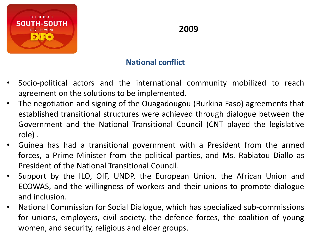

#### **2009**

#### **National conflict**

- Socio-political actors and the international community mobilized to reach agreement on the solutions to be implemented.
- The negotiation and signing of the Ouagadougou (Burkina Faso) agreements that established transitional structures were achieved through dialogue between the Government and the National Transitional Council (CNT played the legislative role) .
- Guinea has had a transitional government with a President from the armed forces, a Prime Minister from the political parties, and Ms. Rabiatou Diallo as President of the National Transitional Council.
- Support by the ILO, OIF, UNDP, the European Union, the African Union and ECOWAS, and the willingness of workers and their unions to promote dialogue and inclusion.
- National Commission for Social Dialogue, which has specialized sub-commissions for unions, employers, civil society, the defence forces, the coalition of young women, and security, religious and elder groups.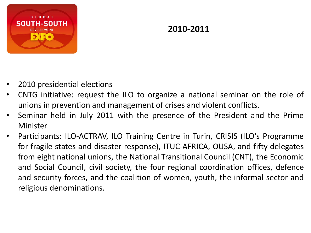

- 2010 presidential elections
- CNTG initiative: request the ILO to organize a national seminar on the role of unions in prevention and management of crises and violent conflicts.
- Seminar held in July 2011 with the presence of the President and the Prime Minister
- Participants: ILO-ACTRAV, ILO Training Centre in Turin, CRISIS (ILO's Programme for fragile states and disaster response), ITUC-AFRICA, OUSA, and fifty delegates from eight national unions, the National Transitional Council (CNT), the Economic and Social Council, civil society, the four regional coordination offices, defence and security forces, and the coalition of women, youth, the informal sector and religious denominations.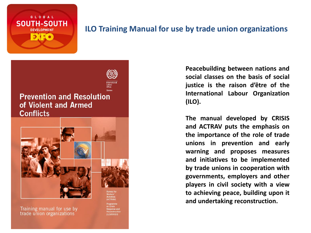

#### **ILO Training Manual for use by trade union organizations**



Training manual for use by trade union organizations

**Peacebuilding between nations and social classes on the basis of social justice is the raison d'être of the International Labour Organization (ILO).**

**The manual developed by CRISIS and ACTRAV puts the emphasis on the importance of the role of trade unions in prevention and early warning and proposes measures and initiatives to be implemented by trade unions in cooperation with governments, employers and other players in civil society with a view to achieving peace, building upon it and undertaking reconstruction.**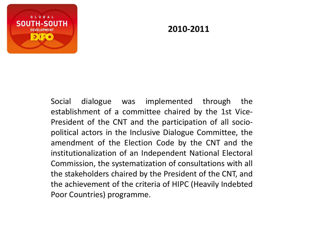

Social dialogue was implemented through the establishment of a committee chaired by the 1st Vice-President of the CNT and the participation of all sociopolitical actors in the Inclusive Dialogue Committee, the amendment of the Election Code by the CNT and the institutionalization of an Independent National Electoral Commission, the systematization of consultations with all the stakeholders chaired by the President of the CNT, and the achievement of the criteria of HIPC (Heavily Indebted Poor Countries) programme.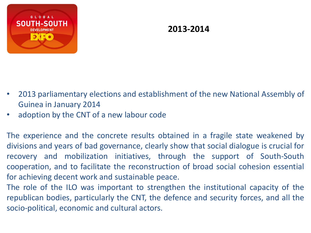

- 2013 parliamentary elections and establishment of the new National Assembly of Guinea in January 2014
- adoption by the CNT of a new labour code

The experience and the concrete results obtained in a fragile state weakened by divisions and years of bad governance, clearly show that social dialogue is crucial for recovery and mobilization initiatives, through the support of South-South cooperation, and to facilitate the reconstruction of broad social cohesion essential for achieving decent work and sustainable peace.

The role of the ILO was important to strengthen the institutional capacity of the republican bodies, particularly the CNT, the defence and security forces, and all the socio-political, economic and cultural actors.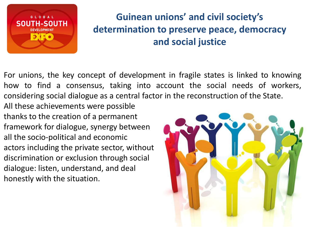

## **Guinean unions' and civil society's determination to preserve peace, democracy and social justice**

For unions, the key concept of development in fragile states is linked to knowing how to find a consensus, taking into account the social needs of workers, considering social dialogue as a central factor in the reconstruction of the State.

All these achievements were possible thanks to the creation of a permanent framework for dialogue, synergy between all the socio-political and economic actors including the private sector, without discrimination or exclusion through social dialogue: listen, understand, and deal honestly with the situation.

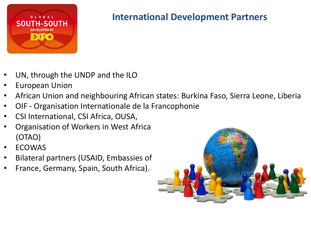

### **International Development Partners**

- UN, through the UNDP and the ILO
- European Union
- African Union and neighbouring African states: Burkina Faso, Sierra Leone, Liberia
- OIF Organisation Internationale de la Francophonie
- CSI International, CSI Africa, OUSA,
- Organisation of Workers in West Africa (OTAO)
- **ECOWAS**
- Bilateral partners (USAID, Embassies of
- France, Germany, Spain, South Africa).